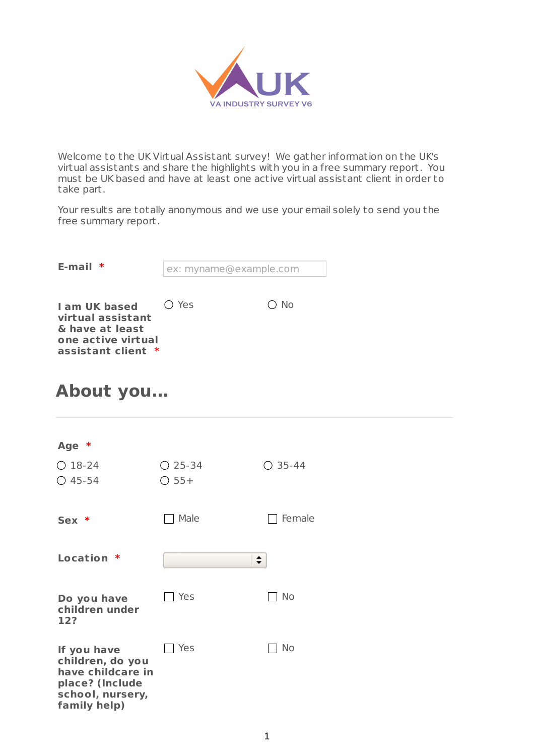

Welcome to the UK Virtual Assistant survey! We gather information on the UK's virtual assistants and share the highlights with you in a free summary report. You must be UK based and have at least one active virtual assistant client in order to take part.

Your results are totally anonymous and we use your email solely to send you the free summary report.

| E-mail $*$                                                                                               | ex: myname@example.com |               |
|----------------------------------------------------------------------------------------------------------|------------------------|---------------|
| <b>I am UK based</b><br>virtual assistant<br>& have at least<br>one active virtual<br>assistant client * | () Yes                 | $\bigcirc$ No |

### **About you...**

| Age *                                 |           |           |
|---------------------------------------|-----------|-----------|
| $O$ 18-24                             | $O$ 25-34 | $O$ 35-44 |
| $O$ 45-54                             | $O$ 55+   |           |
|                                       |           |           |
| $Sex *$                               | Male      | Female    |
|                                       |           |           |
| Location *                            | ÷         |           |
|                                       |           |           |
| Do you have                           | Yes       | No        |
| children under<br>12?                 |           |           |
|                                       |           |           |
| If you have                           | Yes       | <b>No</b> |
| children, do you<br>have childcare in |           |           |
| place? (Include<br>school, nursery,   |           |           |
| family help)                          |           |           |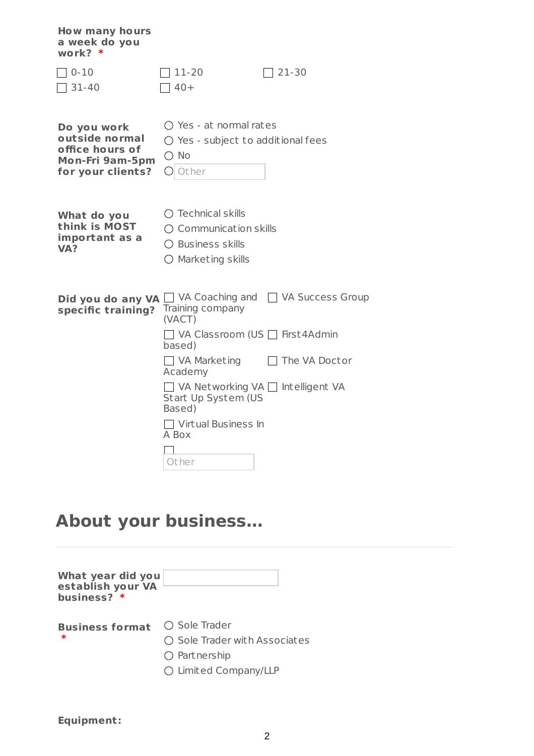| <b>How many hours</b><br>a week do you<br>work? $*$                                      |                                                                                                                             |                                                |
|------------------------------------------------------------------------------------------|-----------------------------------------------------------------------------------------------------------------------------|------------------------------------------------|
| $0 - 10$<br>$31 - 40$                                                                    | $11 - 20$<br>$40+$                                                                                                          | $21 - 30$                                      |
| Do you work<br>outside normal<br>office hours of<br>Mon-Fri 9am-5pm<br>for your clients? | $\bigcap$ Yes - at normal rates<br>$\bigcirc$ Yes - subject to additional fees<br>$\bigcirc$ No<br>Other<br>$($ )           |                                                |
| What do you<br>think is MOST<br>important as a<br>VA?                                    | $\bigcirc$ Technical skills<br>$\bigcirc$ Communication skills<br>$\bigcirc$ Business skills<br>$\bigcirc$ Marketing skills |                                                |
| Did you do any VA<br>specific training?                                                  | Training company<br>(VACT)                                                                                                  | $\Box$ VA Coaching and $\Box$ VA Success Group |
|                                                                                          | VA Classroom (US First 4Admin<br>based)                                                                                     |                                                |
|                                                                                          | □ VA Marketing<br>Academy                                                                                                   | The VA Doctor                                  |
|                                                                                          | □ VA Networking VA □ Intelligent VA<br>Start Up System (US<br>Based)                                                        |                                                |
|                                                                                          | $\Box$ Virtual Business In<br>A Box                                                                                         |                                                |
|                                                                                          | Other                                                                                                                       |                                                |

## **About your business...**

| What year did you<br>establish your VA<br>business? * |                                        |
|-------------------------------------------------------|----------------------------------------|
| <b>Business format</b>                                | $\bigcirc$ Sole Trader                 |
| ∗                                                     | $\bigcirc$ Sole Trader with Associates |
|                                                       | $\bigcirc$ Part nership                |
|                                                       | ○ Limited Company/LLP                  |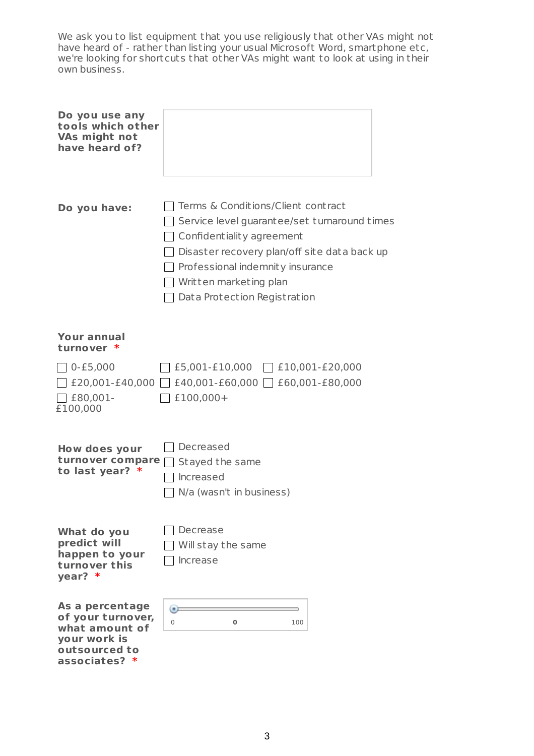We ask you to list equipment that you use religiously that other VAs might not have heard of - rather than listing your usual Microsoft Word, smartphone etc, we're looking for shortcuts that other VAs might want to look at using in their own business.

| Do you use any<br>tools which other<br><b>VAs might not</b><br>have heard of?                            |                                                                                                                                                                                                                                                                      |
|----------------------------------------------------------------------------------------------------------|----------------------------------------------------------------------------------------------------------------------------------------------------------------------------------------------------------------------------------------------------------------------|
| Do you have:                                                                                             | Terms & Conditions/Client contract<br>Service level guarantee/set turnaround times<br>Confidentiality agreement<br>Disaster recovery plan/off site data back up<br>Professional indemnity insurance<br>Written marketing plan<br>$\Box$ Data Protection Registration |
| Your annual<br>turnover *                                                                                |                                                                                                                                                                                                                                                                      |
| $0 - £5,000$<br>$\top$ £80,001-<br>£100,000                                                              | $\left[ \begin{array}{ccc} \text{£5,001-E10,000} & \text{ } \end{array} \right]$ £10,001-£20,000<br>£20,001-£40,000   £40,001-£60,000   £60,001-£80,000<br>£100,000+                                                                                                 |
| How does your<br>turnover compare<br>to last year? *                                                     | Decreased<br>Stayed the same<br>Increased<br>N/a (wasn't in business)                                                                                                                                                                                                |
| What do you<br>predict will<br>happen to your<br>turnover this<br>year? *                                | Decrease<br>Will stay the same<br>Increase                                                                                                                                                                                                                           |
| As a percentage<br>of your turnover,<br>what amount of<br>your work is<br>outsourced to<br>associates? * | $\left( n\right)$<br>0<br>$\bf{0}$<br>100                                                                                                                                                                                                                            |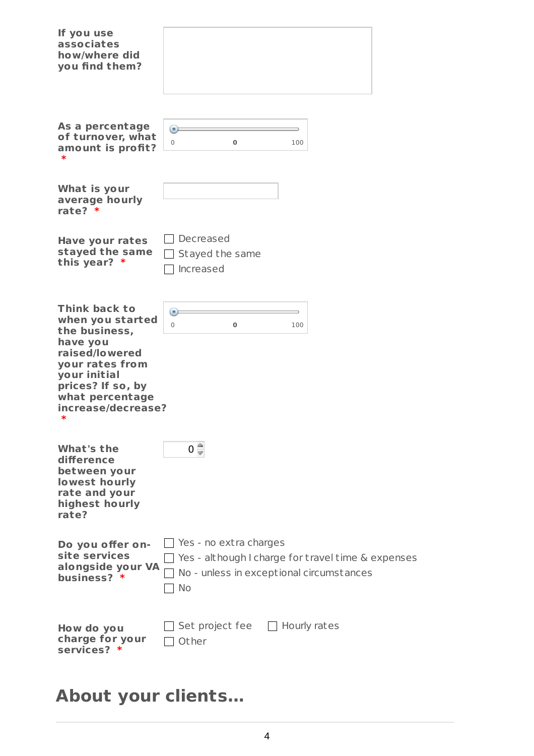| If you use<br>associates<br>how/where did<br>you find them?                                                                                                                            |                                                              |
|----------------------------------------------------------------------------------------------------------------------------------------------------------------------------------------|--------------------------------------------------------------|
| As a percentage                                                                                                                                                                        | $\left( n\right)$                                            |
| of turnover, what                                                                                                                                                                      | $\Omega$                                                     |
| amount is profit?                                                                                                                                                                      | $\mathbf 0$                                                  |
| $\ast$                                                                                                                                                                                 | 100                                                          |
| What is your<br>average hourly<br>rate? $*$                                                                                                                                            |                                                              |
| <b>Have your rates</b>                                                                                                                                                                 | Decreased                                                    |
| stayed the same                                                                                                                                                                        | Stayed the same                                              |
| this year? $*$                                                                                                                                                                         | Increased                                                    |
| Think back to<br>when you started<br>the business,<br>have you<br>raised/lowered<br>your rates from<br>your initial<br>prices? If so, by<br>what percentage<br>increase/decrease?<br>∗ | $\left( n\right)$<br>$\overline{0}$<br>$\bf{0}$<br>100       |
| What's the<br>difference<br>between your<br>lowest hourly<br>rate and your<br>highest hourly<br>rate?                                                                                  | $0 \frac{4}{3}$                                              |
| Do you offer on-                                                                                                                                                                       | Yes - no extra charges                                       |
| site services                                                                                                                                                                          | $\Box$ Yes - although I charge for travel time $\&$ expenses |
| alongside your VA                                                                                                                                                                      | No - unless in exceptional circumstances                     |
| business? *                                                                                                                                                                            | No                                                           |
| How do you                                                                                                                                                                             | Set project fee                                              |
| charge for your                                                                                                                                                                        | $\Box$ Hourly rates                                          |
| services? *                                                                                                                                                                            | Other                                                        |

# **About your clients...**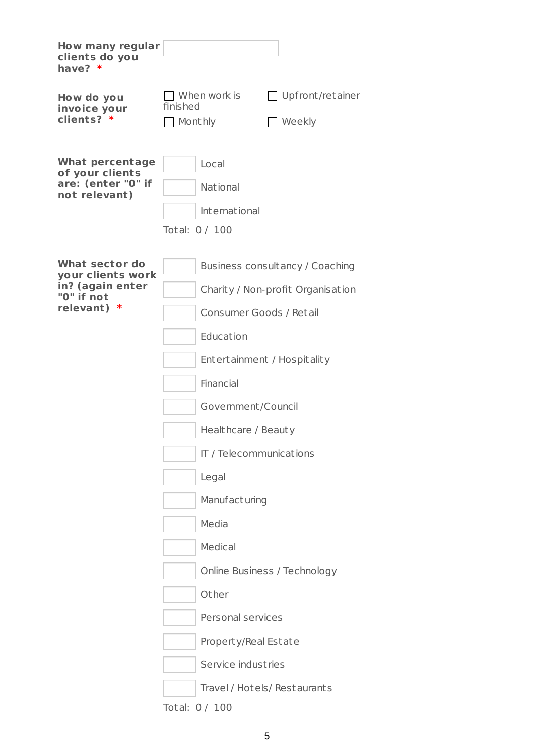| <b>How many regular</b><br>clients do you<br>have? $*$                                          |                                                                                                                                                                                                                                                                                                                                      |                                                                                                      |
|-------------------------------------------------------------------------------------------------|--------------------------------------------------------------------------------------------------------------------------------------------------------------------------------------------------------------------------------------------------------------------------------------------------------------------------------------|------------------------------------------------------------------------------------------------------|
| How do you<br>invoice your<br>clients? *                                                        | When work is<br>finished<br>Monthly                                                                                                                                                                                                                                                                                                  | $\Box$ Upfront/retainer<br>$\Box$ Weekly                                                             |
| <b>What percentage</b><br>of your clients<br>are: (enter "0" if<br>not relevant)                | Local<br><b>National</b><br>International<br>Total: 0 / 100                                                                                                                                                                                                                                                                          |                                                                                                      |
| <b>What sector do</b><br>your clients work<br>in? (again enter<br>"0" if not<br>relevant)<br>-∗ | Consumer Goods / Retail<br>Education<br>Entertainment / Hospitality<br>Financial<br>Government/Council<br>Healthcare / Beauty<br>IT / Telecommunications<br>Legal<br>Manufacturing<br>Media<br>Medical<br>Other<br>Personal services<br>Property/Real Estate<br>Service industries<br>Travel / Hotels/ Restaurants<br>Total: 0 / 100 | Business consultancy / Coaching<br>Charity / Non-profit Organisation<br>Online Business / Technology |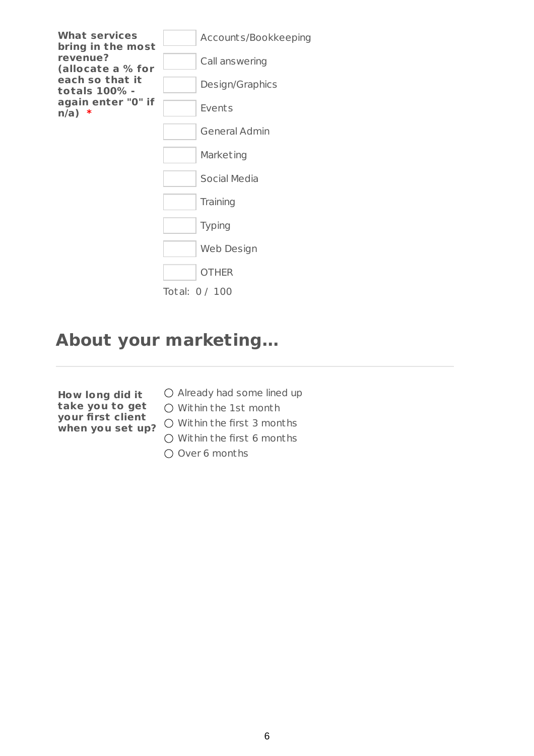

### **About your marketing...**

- **How long did it take you to get your first client when you set up?**
- $\bigcirc$  Already had some lined up
	- Within the 1st month
	- O Within the first 3 months
	- $\bigcap$  Within the first 6 months
	- O Over 6 months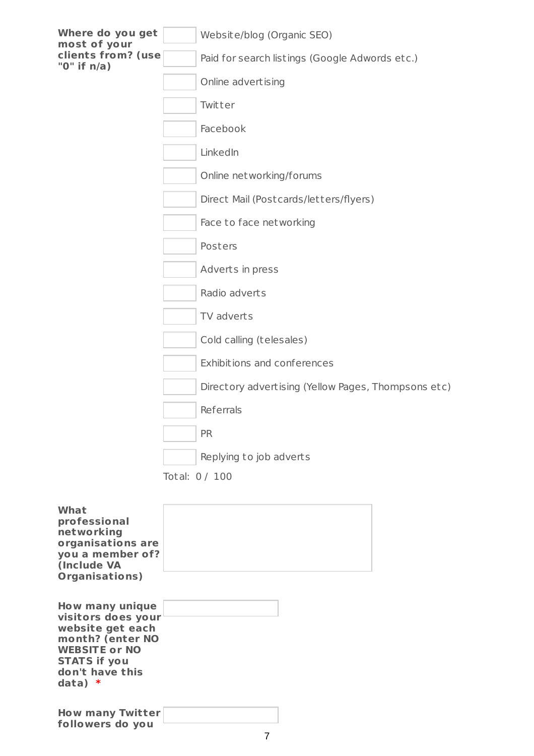| Where do you get<br>most of your             | Website/blog (Organic SEO)                          |
|----------------------------------------------|-----------------------------------------------------|
| clients from? (use<br>"0" if $n/a$ )         | Paid for search listings (Google Adwords etc.)      |
|                                              | Online advertising                                  |
|                                              | Twitter                                             |
|                                              | Facebook                                            |
|                                              | LinkedIn                                            |
|                                              | Online net working/forums                           |
|                                              | Direct Mail (Postcards/letters/flyers)              |
|                                              | Face to face networking                             |
|                                              | Posters                                             |
|                                              | Adverts in press                                    |
|                                              | Radio adverts                                       |
|                                              | TV adverts                                          |
|                                              | Cold calling (telesales)                            |
|                                              | Exhibitions and conferences                         |
|                                              | Directory advertising (Yellow Pages, Thompsons etc) |
|                                              | Referrals                                           |
|                                              | <b>PR</b>                                           |
|                                              | Replying to job adverts                             |
|                                              | Total: 0 / 100                                      |
| What                                         |                                                     |
| professional<br>networking                   |                                                     |
| organisations are<br>you a member of?        |                                                     |
| (Include VA<br>Organisations)                |                                                     |
|                                              |                                                     |
| <b>How many unique</b><br>visitors does your |                                                     |
| website get each<br>month? (enter NO         |                                                     |
| <b>WEBSITE or NO</b>                         |                                                     |

**How many Twitter followers do you**

**STATS if you don't have this**

**data) \***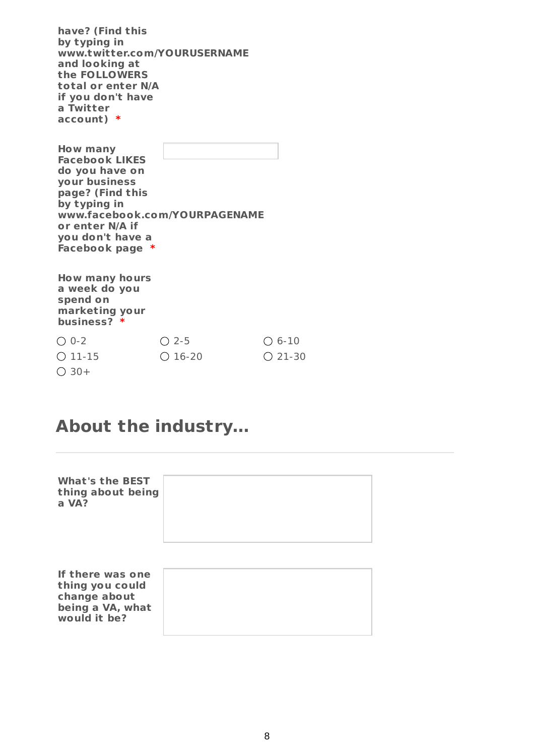**have? (Find this by typing in www.twitter.com/YOURUSERNAME and looking at the FOLLOWERS total or enter N/A if you don't have a Twitter account) \***

**How many Facebook LIKES do you have on your business page? (Find this by typing in www.facebook.com/YOURPAGENAME or enter N/A if you don't have a Facebook page \***

**How many hours a week do you spend on marketing your business? \***

**would it be?**

| $O$ 0-2          | $\bigcirc$ 2-5 | $\bigcirc$ 6-10  |
|------------------|----------------|------------------|
| $\bigcirc$ 11-15 | $O$ 16-20      | $\bigcirc$ 21-30 |
| $\bigcirc$ 30+   |                |                  |

#### **About the industry...**

| <b>What's the BEST</b><br>thing about being<br>a VA?                    |  |
|-------------------------------------------------------------------------|--|
| If there was one<br>thing you could<br>change about<br>being a VA, what |  |